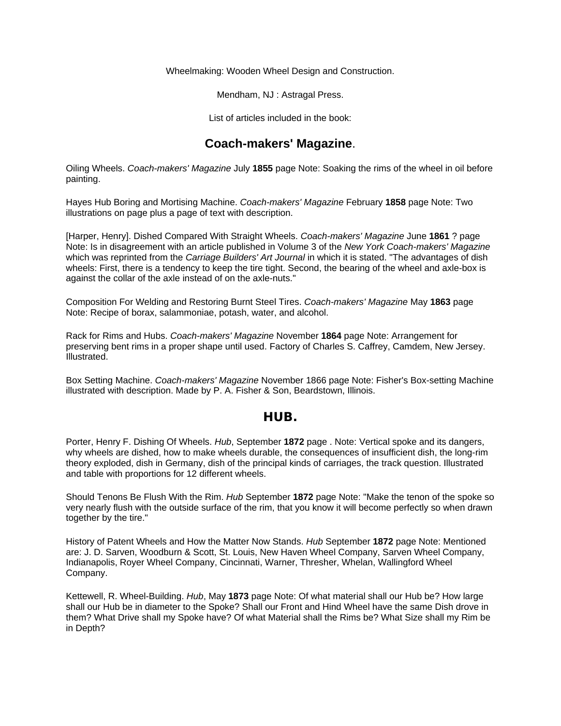Wheelmaking: Wooden Wheel Design and Construction.

Mendham, NJ : Astragal Press.

List of articles included in the book:

## **Coach-makers' Magazine**.

Oiling Wheels. *Coach-makers' Magazine* July **1855** page Note: Soaking the rims of the wheel in oil before painting.

Hayes Hub Boring and Mortising Machine. *Coach-makers' Magazine* February **1858** page Note: Two illustrations on page plus a page of text with description.

[Harper, Henry]. Dished Compared With Straight Wheels. *Coach-makers' Magazine* June **1861** ? page Note: Is in disagreement with an article published in Volume 3 of the *New York Coach-makers' Magazine*  which was reprinted from the *Carriage Builders' Art Journal* in which it is stated. "The advantages of dish wheels: First, there is a tendency to keep the tire tight. Second, the bearing of the wheel and axle-box is against the collar of the axle instead of on the axle-nuts."

Composition For Welding and Restoring Burnt Steel Tires. *Coach-makers' Magazine* May **1863** page Note: Recipe of borax, salammoniae, potash, water, and alcohol.

Rack for Rims and Hubs. *Coach-makers' Magazine* November **1864** page Note: Arrangement for preserving bent rims in a proper shape until used. Factory of Charles S. Caffrey, Camdem, New Jersey. Illustrated.

Box Setting Machine. *Coach-makers' Magazine* November 1866 page Note: Fisher's Box-setting Machine illustrated with description. Made by P. A. Fisher & Son, Beardstown, Illinois.

#### **HUB.**

Porter, Henry F. Dishing Of Wheels. *Hub*, September **1872** page . Note: Vertical spoke and its dangers, why wheels are dished, how to make wheels durable, the consequences of insufficient dish, the long-rim theory exploded, dish in Germany, dish of the principal kinds of carriages, the track question. Illustrated and table with proportions for 12 different wheels.

Should Tenons Be Flush With the Rim. *Hub* September **1872** page Note: "Make the tenon of the spoke so very nearly flush with the outside surface of the rim, that you know it will become perfectly so when drawn together by the tire."

History of Patent Wheels and How the Matter Now Stands. *Hub* September **1872** page Note: Mentioned are: J. D. Sarven, Woodburn & Scott, St. Louis, New Haven Wheel Company, Sarven Wheel Company, Indianapolis, Royer Wheel Company, Cincinnati, Warner, Thresher, Whelan, Wallingford Wheel Company.

Kettewell, R. Wheel-Building. *Hub*, May **1873** page Note: Of what material shall our Hub be? How large shall our Hub be in diameter to the Spoke? Shall our Front and Hind Wheel have the same Dish drove in them? What Drive shall my Spoke have? Of what Material shall the Rims be? What Size shall my Rim be in Depth?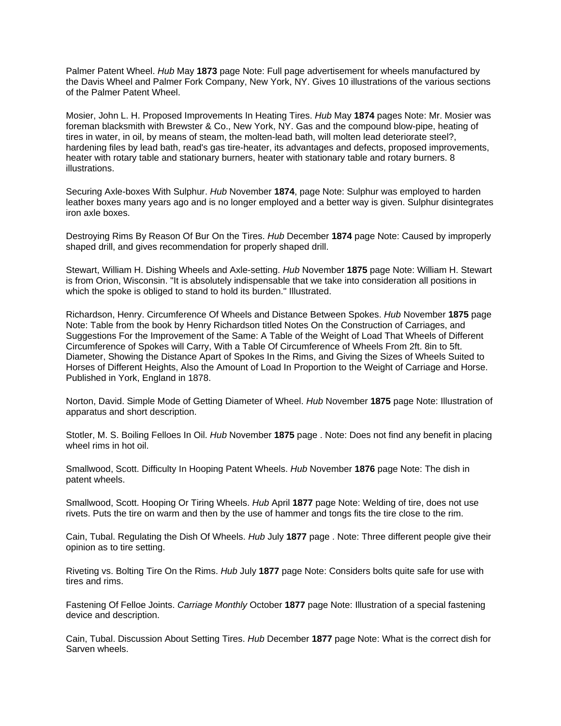Palmer Patent Wheel. *Hub* May **1873** page Note: Full page advertisement for wheels manufactured by the Davis Wheel and Palmer Fork Company, New York, NY. Gives 10 illustrations of the various sections of the Palmer Patent Wheel.

Mosier, John L. H. Proposed Improvements In Heating Tires. *Hub* May **1874** pages Note: Mr. Mosier was foreman blacksmith with Brewster & Co., New York, NY. Gas and the compound blow-pipe, heating of tires in water, in oil, by means of steam, the molten-lead bath, will molten lead deteriorate steel?, hardening files by lead bath, read's gas tire-heater, its advantages and defects, proposed improvements, heater with rotary table and stationary burners, heater with stationary table and rotary burners. 8 illustrations.

Securing Axle-boxes With Sulphur. *Hub* November **1874**, page Note: Sulphur was employed to harden leather boxes many years ago and is no longer employed and a better way is given. Sulphur disintegrates iron axle boxes.

Destroying Rims By Reason Of Bur On the Tires. *Hub* December **1874** page Note: Caused by improperly shaped drill, and gives recommendation for properly shaped drill.

Stewart, William H. Dishing Wheels and Axle-setting. *Hub* November **1875** page Note: William H. Stewart is from Orion, Wisconsin. "It is absolutely indispensable that we take into consideration all positions in which the spoke is obliged to stand to hold its burden." Illustrated.

Richardson, Henry. Circumference Of Wheels and Distance Between Spokes. *Hub* November **1875** page Note: Table from the book by Henry Richardson titled Notes On the Construction of Carriages, and Suggestions For the Improvement of the Same: A Table of the Weight of Load That Wheels of Different Circumference of Spokes will Carry, With a Table Of Circumference of Wheels From 2ft. 8in to 5ft. Diameter, Showing the Distance Apart of Spokes In the Rims, and Giving the Sizes of Wheels Suited to Horses of Different Heights, Also the Amount of Load In Proportion to the Weight of Carriage and Horse. Published in York, England in 1878.

Norton, David. Simple Mode of Getting Diameter of Wheel. *Hub* November **1875** page Note: Illustration of apparatus and short description.

Stotler, M. S. Boiling Felloes In Oil. *Hub* November **1875** page . Note: Does not find any benefit in placing wheel rims in hot oil.

Smallwood, Scott. Difficulty In Hooping Patent Wheels. *Hub* November **1876** page Note: The dish in patent wheels.

Smallwood, Scott. Hooping Or Tiring Wheels. *Hub* April **1877** page Note: Welding of tire, does not use rivets. Puts the tire on warm and then by the use of hammer and tongs fits the tire close to the rim.

Cain, Tubal. Regulating the Dish Of Wheels. *Hub* July **1877** page . Note: Three different people give their opinion as to tire setting.

Riveting vs. Bolting Tire On the Rims. *Hub* July **1877** page Note: Considers bolts quite safe for use with tires and rims.

Fastening Of Felloe Joints. *Carriage Monthly* October **1877** page Note: Illustration of a special fastening device and description.

Cain, Tubal. Discussion About Setting Tires. *Hub* December **1877** page Note: What is the correct dish for Sarven wheels.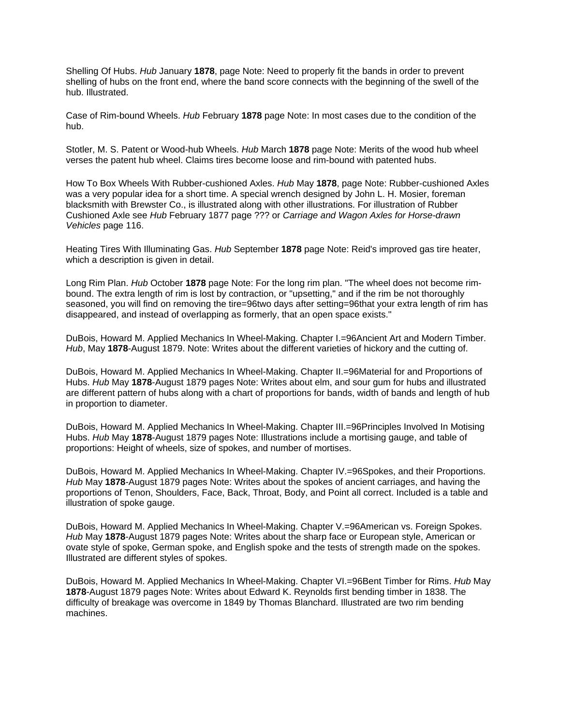Shelling Of Hubs. *Hub* January **1878**, page Note: Need to properly fit the bands in order to prevent shelling of hubs on the front end, where the band score connects with the beginning of the swell of the hub. Illustrated.

Case of Rim-bound Wheels. *Hub* February **1878** page Note: In most cases due to the condition of the hub.

Stotler, M. S. Patent or Wood-hub Wheels. *Hub* March **1878** page Note: Merits of the wood hub wheel verses the patent hub wheel. Claims tires become loose and rim-bound with patented hubs.

How To Box Wheels With Rubber-cushioned Axles. *Hub* May **1878**, page Note: Rubber-cushioned Axles was a very popular idea for a short time. A special wrench designed by John L. H. Mosier, foreman blacksmith with Brewster Co., is illustrated along with other illustrations. For illustration of Rubber Cushioned Axle see *Hub* February 1877 page ??? or *Carriage and Wagon Axles for Horse-drawn Vehicles* page 116.

Heating Tires With Illuminating Gas. *Hub* September **1878** page Note: Reid's improved gas tire heater, which a description is given in detail.

Long Rim Plan. *Hub* October **1878** page Note: For the long rim plan. "The wheel does not become rimbound. The extra length of rim is lost by contraction, or "upsetting," and if the rim be not thoroughly seasoned, you will find on removing the tire=96two days after setting=96that your extra length of rim has disappeared, and instead of overlapping as formerly, that an open space exists."

DuBois, Howard M. Applied Mechanics In Wheel-Making. Chapter I.=96Ancient Art and Modern Timber. *Hub*, May **1878**-August 1879. Note: Writes about the different varieties of hickory and the cutting of.

DuBois, Howard M. Applied Mechanics In Wheel-Making. Chapter II.=96Material for and Proportions of Hubs. *Hub* May **1878**-August 1879 pages Note: Writes about elm, and sour gum for hubs and illustrated are different pattern of hubs along with a chart of proportions for bands, width of bands and length of hub in proportion to diameter.

DuBois, Howard M. Applied Mechanics In Wheel-Making. Chapter III.=96Principles Involved In Motising Hubs. *Hub* May **1878**-August 1879 pages Note: Illustrations include a mortising gauge, and table of proportions: Height of wheels, size of spokes, and number of mortises.

DuBois, Howard M. Applied Mechanics In Wheel-Making. Chapter IV.=96Spokes, and their Proportions. *Hub* May **1878**-August 1879 pages Note: Writes about the spokes of ancient carriages, and having the proportions of Tenon, Shoulders, Face, Back, Throat, Body, and Point all correct. Included is a table and illustration of spoke gauge.

DuBois, Howard M. Applied Mechanics In Wheel-Making. Chapter V.=96American vs. Foreign Spokes. *Hub* May **1878**-August 1879 pages Note: Writes about the sharp face or European style, American or ovate style of spoke, German spoke, and English spoke and the tests of strength made on the spokes. Illustrated are different styles of spokes.

DuBois, Howard M. Applied Mechanics In Wheel-Making. Chapter VI.=96Bent Timber for Rims. *Hub* May **1878**-August 1879 pages Note: Writes about Edward K. Reynolds first bending timber in 1838. The difficulty of breakage was overcome in 1849 by Thomas Blanchard. Illustrated are two rim bending machines.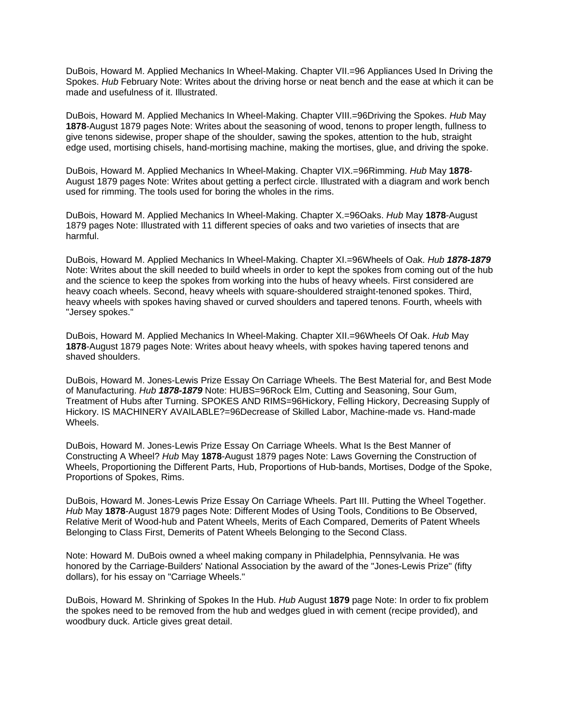DuBois, Howard M. Applied Mechanics In Wheel-Making. Chapter VII.=96 Appliances Used In Driving the Spokes. *Hub* February Note: Writes about the driving horse or neat bench and the ease at which it can be made and usefulness of it. Illustrated.

DuBois, Howard M. Applied Mechanics In Wheel-Making. Chapter VIII.=96Driving the Spokes. *Hub* May **1878**-August 1879 pages Note: Writes about the seasoning of wood, tenons to proper length, fullness to give tenons sidewise, proper shape of the shoulder, sawing the spokes, attention to the hub, straight edge used, mortising chisels, hand-mortising machine, making the mortises, glue, and driving the spoke.

DuBois, Howard M. Applied Mechanics In Wheel-Making. Chapter VIX.=96Rimming. *Hub* May **1878**- August 1879 pages Note: Writes about getting a perfect circle. Illustrated with a diagram and work bench used for rimming. The tools used for boring the wholes in the rims.

DuBois, Howard M. Applied Mechanics In Wheel-Making. Chapter X.=96Oaks. *Hub* May **1878**-August 1879 pages Note: Illustrated with 11 different species of oaks and two varieties of insects that are harmful.

DuBois, Howard M. Applied Mechanics In Wheel-Making. Chapter XI.=96Wheels of Oak. *Hub 1878-1879*  Note: Writes about the skill needed to build wheels in order to kept the spokes from coming out of the hub and the science to keep the spokes from working into the hubs of heavy wheels. First considered are heavy coach wheels. Second, heavy wheels with square-shouldered straight-tenoned spokes. Third, heavy wheels with spokes having shaved or curved shoulders and tapered tenons. Fourth, wheels with "Jersey spokes."

DuBois, Howard M. Applied Mechanics In Wheel-Making. Chapter XII.=96Wheels Of Oak. *Hub* May **1878**-August 1879 pages Note: Writes about heavy wheels, with spokes having tapered tenons and shaved shoulders.

DuBois, Howard M. Jones-Lewis Prize Essay On Carriage Wheels. The Best Material for, and Best Mode of Manufacturing. *Hub 1878-1879* Note: HUBS=96Rock Elm, Cutting and Seasoning, Sour Gum, Treatment of Hubs after Turning. SPOKES AND RIMS=96Hickory, Felling Hickory, Decreasing Supply of Hickory. IS MACHINERY AVAILABLE?=96Decrease of Skilled Labor, Machine-made vs. Hand-made Wheels.

DuBois, Howard M. Jones-Lewis Prize Essay On Carriage Wheels. What Is the Best Manner of Constructing A Wheel? *Hub* May **1878**-August 1879 pages Note: Laws Governing the Construction of Wheels, Proportioning the Different Parts, Hub, Proportions of Hub-bands, Mortises, Dodge of the Spoke, Proportions of Spokes, Rims.

DuBois, Howard M. Jones-Lewis Prize Essay On Carriage Wheels. Part III. Putting the Wheel Together. *Hub* May **1878**-August 1879 pages Note: Different Modes of Using Tools, Conditions to Be Observed, Relative Merit of Wood-hub and Patent Wheels, Merits of Each Compared, Demerits of Patent Wheels Belonging to Class First, Demerits of Patent Wheels Belonging to the Second Class.

Note: Howard M. DuBois owned a wheel making company in Philadelphia, Pennsylvania. He was honored by the Carriage-Builders' National Association by the award of the "Jones-Lewis Prize" (fifty dollars), for his essay on "Carriage Wheels."

DuBois, Howard M. Shrinking of Spokes In the Hub. *Hub* August **1879** page Note: In order to fix problem the spokes need to be removed from the hub and wedges glued in with cement (recipe provided), and woodbury duck. Article gives great detail.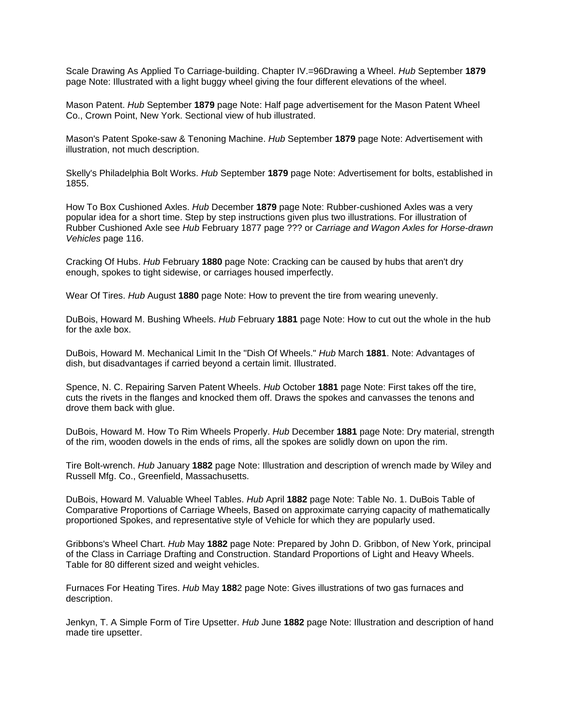Scale Drawing As Applied To Carriage-building. Chapter IV.=96Drawing a Wheel. *Hub* September **1879** page Note: Illustrated with a light buggy wheel giving the four different elevations of the wheel.

Mason Patent. *Hub* September **1879** page Note: Half page advertisement for the Mason Patent Wheel Co., Crown Point, New York. Sectional view of hub illustrated.

Mason's Patent Spoke-saw & Tenoning Machine. *Hub* September **1879** page Note: Advertisement with illustration, not much description.

Skelly's Philadelphia Bolt Works. *Hub* September **1879** page Note: Advertisement for bolts, established in 1855.

How To Box Cushioned Axles. *Hub* December **1879** page Note: Rubber-cushioned Axles was a very popular idea for a short time. Step by step instructions given plus two illustrations. For illustration of Rubber Cushioned Axle see *Hub* February 1877 page ??? or *Carriage and Wagon Axles for Horse-drawn Vehicles* page 116.

Cracking Of Hubs. *Hub* February **1880** page Note: Cracking can be caused by hubs that aren't dry enough, spokes to tight sidewise, or carriages housed imperfectly.

Wear Of Tires. *Hub* August **1880** page Note: How to prevent the tire from wearing unevenly.

DuBois, Howard M. Bushing Wheels. *Hub* February **1881** page Note: How to cut out the whole in the hub for the axle box.

DuBois, Howard M. Mechanical Limit In the "Dish Of Wheels." *Hub* March **1881**. Note: Advantages of dish, but disadvantages if carried beyond a certain limit. Illustrated.

Spence, N. C. Repairing Sarven Patent Wheels. *Hub* October **1881** page Note: First takes off the tire, cuts the rivets in the flanges and knocked them off. Draws the spokes and canvasses the tenons and drove them back with glue.

DuBois, Howard M. How To Rim Wheels Properly. *Hub* December **1881** page Note: Dry material, strength of the rim, wooden dowels in the ends of rims, all the spokes are solidly down on upon the rim.

Tire Bolt-wrench. *Hub* January **1882** page Note: Illustration and description of wrench made by Wiley and Russell Mfg. Co., Greenfield, Massachusetts.

DuBois, Howard M. Valuable Wheel Tables. *Hub* April **1882** page Note: Table No. 1. DuBois Table of Comparative Proportions of Carriage Wheels, Based on approximate carrying capacity of mathematically proportioned Spokes, and representative style of Vehicle for which they are popularly used.

Gribbons's Wheel Chart. *Hub* May **1882** page Note: Prepared by John D. Gribbon, of New York, principal of the Class in Carriage Drafting and Construction. Standard Proportions of Light and Heavy Wheels. Table for 80 different sized and weight vehicles.

Furnaces For Heating Tires. *Hub* May **188**2 page Note: Gives illustrations of two gas furnaces and description.

Jenkyn, T. A Simple Form of Tire Upsetter. *Hub* June **1882** page Note: Illustration and description of hand made tire upsetter.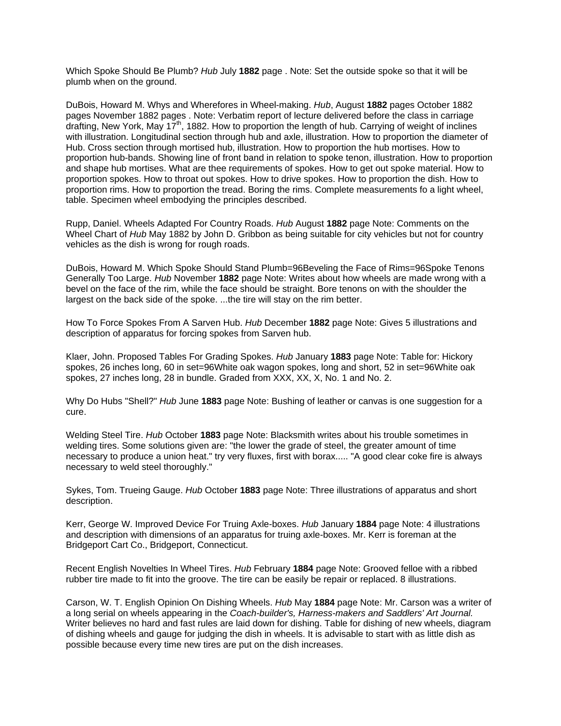Which Spoke Should Be Plumb? *Hub* July **1882** page . Note: Set the outside spoke so that it will be plumb when on the ground.

DuBois, Howard M. Whys and Wherefores in Wheel-making. *Hub*, August **1882** pages October 1882 pages November 1882 pages . Note: Verbatim report of lecture delivered before the class in carriage drafting, New York, May  $17<sup>th</sup>$ , 1882. How to proportion the length of hub. Carrying of weight of inclines with illustration. Longitudinal section through hub and axle, illustration. How to proportion the diameter of Hub. Cross section through mortised hub, illustration. How to proportion the hub mortises. How to proportion hub-bands. Showing line of front band in relation to spoke tenon, illustration. How to proportion and shape hub mortises. What are thee requirements of spokes. How to get out spoke material. How to proportion spokes. How to throat out spokes. How to drive spokes. How to proportion the dish. How to proportion rims. How to proportion the tread. Boring the rims. Complete measurements fo a light wheel, table. Specimen wheel embodying the principles described.

Rupp, Daniel. Wheels Adapted For Country Roads. *Hub* August **1882** page Note: Comments on the Wheel Chart of *Hub* May 1882 by John D. Gribbon as being suitable for city vehicles but not for country vehicles as the dish is wrong for rough roads.

DuBois, Howard M. Which Spoke Should Stand Plumb=96Beveling the Face of Rims=96Spoke Tenons Generally Too Large. *Hub* November **1882** page Note: Writes about how wheels are made wrong with a bevel on the face of the rim, while the face should be straight. Bore tenons on with the shoulder the largest on the back side of the spoke. ...the tire will stay on the rim better.

How To Force Spokes From A Sarven Hub. *Hub* December **1882** page Note: Gives 5 illustrations and description of apparatus for forcing spokes from Sarven hub.

Klaer, John. Proposed Tables For Grading Spokes. *Hub* January **1883** page Note: Table for: Hickory spokes, 26 inches long, 60 in set=96White oak wagon spokes, long and short, 52 in set=96White oak spokes, 27 inches long, 28 in bundle. Graded from XXX, XX, X, No. 1 and No. 2.

Why Do Hubs "Shell?" *Hub* June **1883** page Note: Bushing of leather or canvas is one suggestion for a cure.

Welding Steel Tire. *Hub* October **1883** page Note: Blacksmith writes about his trouble sometimes in welding tires. Some solutions given are: "the lower the grade of steel, the greater amount of time necessary to produce a union heat." try very fluxes, first with borax..... "A good clear coke fire is always necessary to weld steel thoroughly."

Sykes, Tom. Trueing Gauge. *Hub* October **1883** page Note: Three illustrations of apparatus and short description.

Kerr, George W. Improved Device For Truing Axle-boxes. *Hub* January **1884** page Note: 4 illustrations and description with dimensions of an apparatus for truing axle-boxes. Mr. Kerr is foreman at the Bridgeport Cart Co., Bridgeport, Connecticut.

Recent English Novelties In Wheel Tires. *Hub* February **1884** page Note: Grooved felloe with a ribbed rubber tire made to fit into the groove. The tire can be easily be repair or replaced. 8 illustrations.

Carson, W. T. English Opinion On Dishing Wheels. *Hub* May **1884** page Note: Mr. Carson was a writer of a long serial on wheels appearing in the *Coach-builder's, Harness-makers and Saddlers' Art Journal.*  Writer believes no hard and fast rules are laid down for dishing. Table for dishing of new wheels, diagram of dishing wheels and gauge for judging the dish in wheels. It is advisable to start with as little dish as possible because every time new tires are put on the dish increases.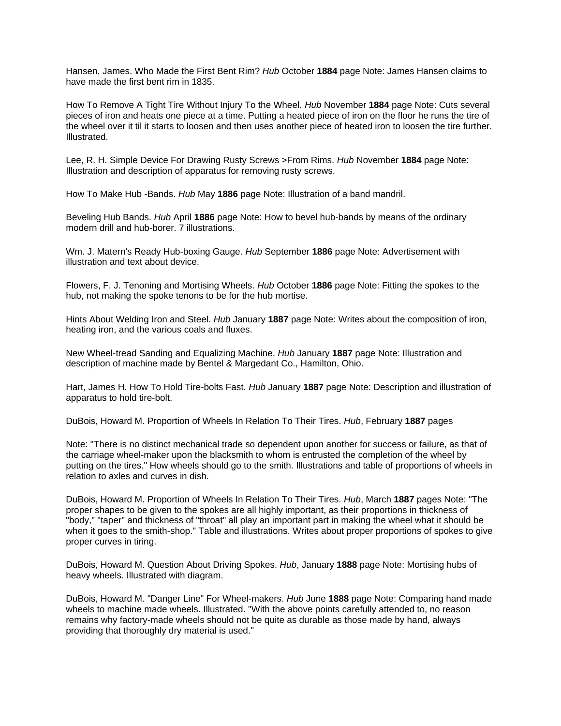Hansen, James. Who Made the First Bent Rim? *Hub* October **1884** page Note: James Hansen claims to have made the first bent rim in 1835.

How To Remove A Tight Tire Without Injury To the Wheel. *Hub* November **1884** page Note: Cuts several pieces of iron and heats one piece at a time. Putting a heated piece of iron on the floor he runs the tire of the wheel over it til it starts to loosen and then uses another piece of heated iron to loosen the tire further. Illustrated.

Lee, R. H. Simple Device For Drawing Rusty Screws >From Rims. *Hub* November **1884** page Note: Illustration and description of apparatus for removing rusty screws.

How To Make Hub -Bands. *Hub* May **1886** page Note: Illustration of a band mandril.

Beveling Hub Bands. *Hub* April **1886** page Note: How to bevel hub-bands by means of the ordinary modern drill and hub-borer. 7 illustrations.

Wm. J. Matern's Ready Hub-boxing Gauge. *Hub* September **1886** page Note: Advertisement with illustration and text about device.

Flowers, F. J. Tenoning and Mortising Wheels. *Hub* October **1886** page Note: Fitting the spokes to the hub, not making the spoke tenons to be for the hub mortise.

Hints About Welding Iron and Steel. *Hub* January **1887** page Note: Writes about the composition of iron, heating iron, and the various coals and fluxes.

New Wheel-tread Sanding and Equalizing Machine. *Hub* January **1887** page Note: Illustration and description of machine made by Bentel & Margedant Co., Hamilton, Ohio.

Hart, James H. How To Hold Tire-bolts Fast. *Hub* January **1887** page Note: Description and illustration of apparatus to hold tire-bolt.

DuBois, Howard M. Proportion of Wheels In Relation To Their Tires. *Hub*, February **1887** pages

Note: "There is no distinct mechanical trade so dependent upon another for success or failure, as that of the carriage wheel-maker upon the blacksmith to whom is entrusted the completion of the wheel by putting on the tires." How wheels should go to the smith. Illustrations and table of proportions of wheels in relation to axles and curves in dish.

DuBois, Howard M. Proportion of Wheels In Relation To Their Tires. *Hub*, March **1887** pages Note: "The proper shapes to be given to the spokes are all highly important, as their proportions in thickness of "body," "taper" and thickness of "throat" all play an important part in making the wheel what it should be when it goes to the smith-shop." Table and illustrations. Writes about proper proportions of spokes to give proper curves in tiring.

DuBois, Howard M. Question About Driving Spokes. *Hub*, January **1888** page Note: Mortising hubs of heavy wheels. Illustrated with diagram.

DuBois, Howard M. "Danger Line" For Wheel-makers. *Hub* June **1888** page Note: Comparing hand made wheels to machine made wheels. Illustrated. "With the above points carefully attended to, no reason remains why factory-made wheels should not be quite as durable as those made by hand, always providing that thoroughly dry material is used."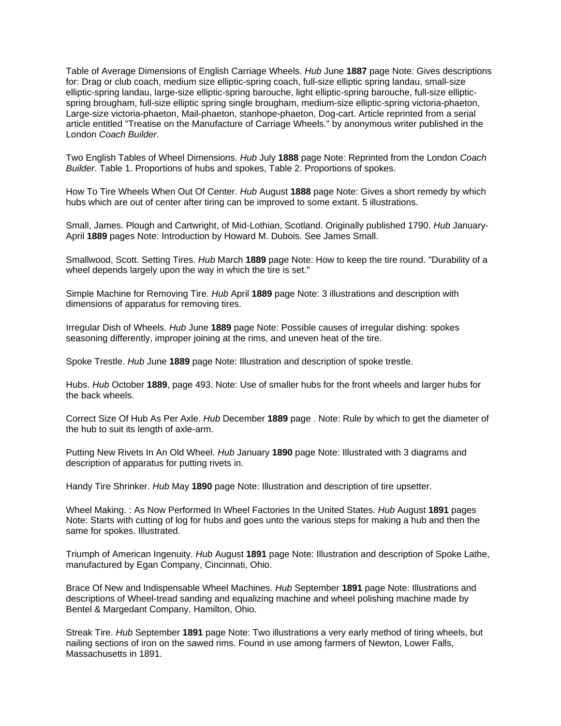Table of Average Dimensions of English Carriage Wheels. *Hub* June **1887** page Note: Gives descriptions for: Drag or club coach, medium size elliptic-spring coach, full-size elliptic spring landau, small-size elliptic-spring landau, large-size elliptic-spring barouche, light elliptic-spring barouche, full-size ellipticspring brougham, full-size elliptic spring single brougham, medium-size elliptic-spring victoria-phaeton, Large-size victoria-phaeton, Mail-phaeton, stanhope-phaeton, Dog-cart. Article reprinted from a serial article entitled "Treatise on the Manufacture of Carriage Wheels." by anonymous writer published in the London *Coach Builder*.

Two English Tables of Wheel Dimensions. *Hub* July **1888** page Note: Reprinted from the London *Coach Builder*. Table 1. Proportions of hubs and spokes, Table 2. Proportions of spokes.

How To Tire Wheels When Out Of Center. *Hub* August **1888** page Note: Gives a short remedy by which hubs which are out of center after tiring can be improved to some extant. 5 illustrations.

Small, James. Plough and Cartwright, of Mid-Lothian, Scotland. Originally published 1790. *Hub* January-April **1889** pages Note: Introduction by Howard M. Dubois. See James Small.

Smallwood, Scott. Setting Tires. *Hub* March **1889** page Note: How to keep the tire round. "Durability of a wheel depends largely upon the way in which the tire is set."

Simple Machine for Removing Tire. *Hub* April **1889** page Note: 3 illustrations and description with dimensions of apparatus for removing tires.

Irregular Dish of Wheels. *Hub* June **1889** page Note: Possible causes of irregular dishing: spokes seasoning differently, improper joining at the rims, and uneven heat of the tire.

Spoke Trestle. *Hub* June **1889** page Note: Illustration and description of spoke trestle.

Hubs. *Hub* October **1889**, page 493. Note: Use of smaller hubs for the front wheels and larger hubs for the back wheels.

Correct Size Of Hub As Per Axle. *Hub* December **1889** page . Note: Rule by which to get the diameter of the hub to suit its length of axle-arm.

Putting New Rivets In An Old Wheel. *Hub* January **1890** page Note: Illustrated with 3 diagrams and description of apparatus for putting rivets in.

Handy Tire Shrinker. *Hub* May **1890** page Note: Illustration and description of tire upsetter.

Wheel Making. : As Now Performed In Wheel Factories In the United States. *Hub* August **1891** pages Note: Starts with cutting of log for hubs and goes unto the various steps for making a hub and then the same for spokes. Illustrated.

Triumph of American Ingenuity. *Hub* August **1891** page Note: Illustration and description of Spoke Lathe, manufactured by Egan Company, Cincinnati, Ohio.

Brace Of New and Indispensable Wheel Machines. *Hub* September **1891** page Note: Illustrations and descriptions of Wheel-tread sanding and equalizing machine and wheel polishing machine made by Bentel & Margedant Company, Hamilton, Ohio.

Streak Tire. *Hub* September **1891** page Note: Two illustrations a very early method of tiring wheels, but nailing sections of iron on the sawed rims. Found in use among farmers of Newton, Lower Falls, Massachusetts in 1891.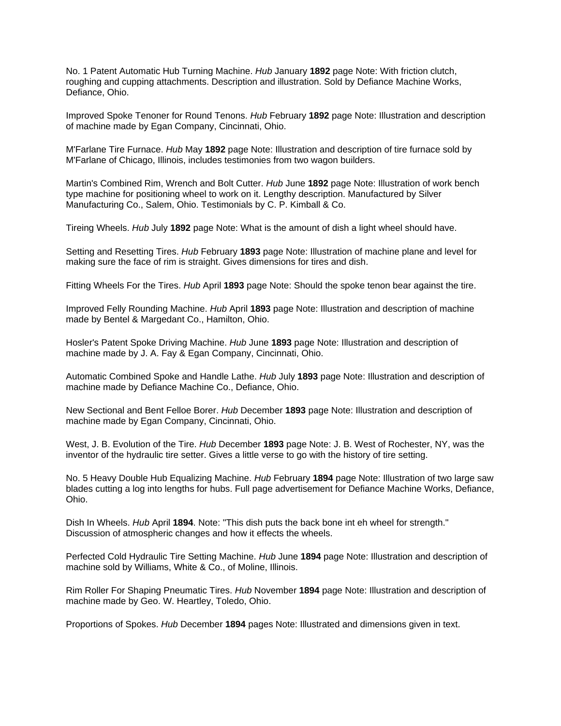No. 1 Patent Automatic Hub Turning Machine. *Hub* January **1892** page Note: With friction clutch, roughing and cupping attachments. Description and illustration. Sold by Defiance Machine Works, Defiance, Ohio.

Improved Spoke Tenoner for Round Tenons. *Hub* February **1892** page Note: Illustration and description of machine made by Egan Company, Cincinnati, Ohio.

M'Farlane Tire Furnace. *Hub* May **1892** page Note: Illustration and description of tire furnace sold by M'Farlane of Chicago, Illinois, includes testimonies from two wagon builders.

Martin's Combined Rim, Wrench and Bolt Cutter. *Hub* June **1892** page Note: Illustration of work bench type machine for positioning wheel to work on it. Lengthy description. Manufactured by Silver Manufacturing Co., Salem, Ohio. Testimonials by C. P. Kimball & Co.

Tireing Wheels. *Hub* July **1892** page Note: What is the amount of dish a light wheel should have.

Setting and Resetting Tires. *Hub* February **1893** page Note: Illustration of machine plane and level for making sure the face of rim is straight. Gives dimensions for tires and dish.

Fitting Wheels For the Tires. *Hub* April **1893** page Note: Should the spoke tenon bear against the tire.

Improved Felly Rounding Machine. *Hub* April **1893** page Note: Illustration and description of machine made by Bentel & Margedant Co., Hamilton, Ohio.

Hosler's Patent Spoke Driving Machine. *Hub* June **1893** page Note: Illustration and description of machine made by J. A. Fay & Egan Company, Cincinnati, Ohio.

Automatic Combined Spoke and Handle Lathe. *Hub* July **1893** page Note: Illustration and description of machine made by Defiance Machine Co., Defiance, Ohio.

New Sectional and Bent Felloe Borer. *Hub* December **1893** page Note: Illustration and description of machine made by Egan Company, Cincinnati, Ohio.

West, J. B. Evolution of the Tire. *Hub* December **1893** page Note: J. B. West of Rochester, NY, was the inventor of the hydraulic tire setter. Gives a little verse to go with the history of tire setting.

No. 5 Heavy Double Hub Equalizing Machine. *Hub* February **1894** page Note: Illustration of two large saw blades cutting a log into lengths for hubs. Full page advertisement for Defiance Machine Works, Defiance, Ohio.

Dish In Wheels. *Hub* April **1894**. Note: "This dish puts the back bone int eh wheel for strength." Discussion of atmospheric changes and how it effects the wheels.

Perfected Cold Hydraulic Tire Setting Machine. *Hub* June **1894** page Note: Illustration and description of machine sold by Williams, White & Co., of Moline, Illinois.

Rim Roller For Shaping Pneumatic Tires. *Hub* November **1894** page Note: Illustration and description of machine made by Geo. W. Heartley, Toledo, Ohio.

Proportions of Spokes. *Hub* December **1894** pages Note: Illustrated and dimensions given in text.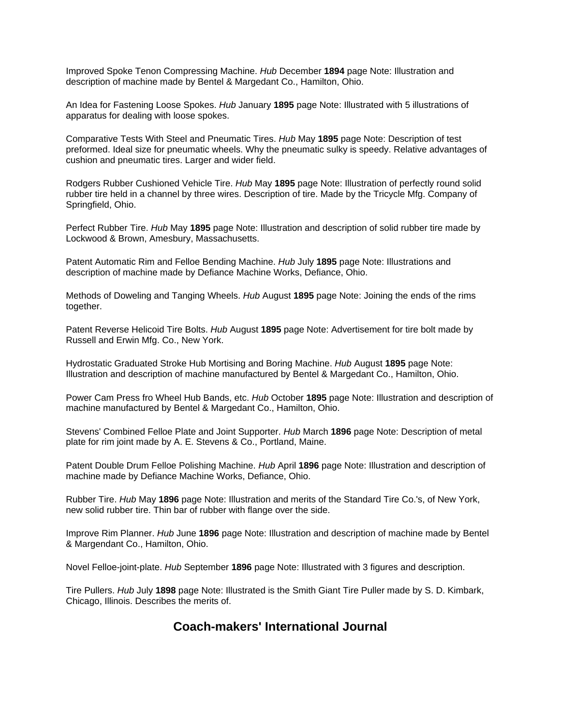Improved Spoke Tenon Compressing Machine. *Hub* December **1894** page Note: Illustration and description of machine made by Bentel & Margedant Co., Hamilton, Ohio.

An Idea for Fastening Loose Spokes. *Hub* January **1895** page Note: Illustrated with 5 illustrations of apparatus for dealing with loose spokes.

Comparative Tests With Steel and Pneumatic Tires. *Hub* May **1895** page Note: Description of test preformed. Ideal size for pneumatic wheels. Why the pneumatic sulky is speedy. Relative advantages of cushion and pneumatic tires. Larger and wider field.

Rodgers Rubber Cushioned Vehicle Tire. *Hub* May **1895** page Note: Illustration of perfectly round solid rubber tire held in a channel by three wires. Description of tire. Made by the Tricycle Mfg. Company of Springfield, Ohio.

Perfect Rubber Tire. *Hub* May **1895** page Note: Illustration and description of solid rubber tire made by Lockwood & Brown, Amesbury, Massachusetts.

Patent Automatic Rim and Felloe Bending Machine. *Hub* July **1895** page Note: Illustrations and description of machine made by Defiance Machine Works, Defiance, Ohio.

Methods of Doweling and Tanging Wheels. *Hub* August **1895** page Note: Joining the ends of the rims together.

Patent Reverse Helicoid Tire Bolts. *Hub* August **1895** page Note: Advertisement for tire bolt made by Russell and Erwin Mfg. Co., New York.

Hydrostatic Graduated Stroke Hub Mortising and Boring Machine. *Hub* August **1895** page Note: Illustration and description of machine manufactured by Bentel & Margedant Co., Hamilton, Ohio.

Power Cam Press fro Wheel Hub Bands, etc. *Hub* October **1895** page Note: Illustration and description of machine manufactured by Bentel & Margedant Co., Hamilton, Ohio.

Stevens' Combined Felloe Plate and Joint Supporter. *Hub* March **1896** page Note: Description of metal plate for rim joint made by A. E. Stevens & Co., Portland, Maine.

Patent Double Drum Felloe Polishing Machine. *Hub* April **1896** page Note: Illustration and description of machine made by Defiance Machine Works, Defiance, Ohio.

Rubber Tire. *Hub* May **1896** page Note: Illustration and merits of the Standard Tire Co.'s, of New York, new solid rubber tire. Thin bar of rubber with flange over the side.

Improve Rim Planner. *Hub* June **1896** page Note: Illustration and description of machine made by Bentel & Margendant Co., Hamilton, Ohio.

Novel Felloe-joint-plate. *Hub* September **1896** page Note: Illustrated with 3 figures and description.

Tire Pullers. *Hub* July **1898** page Note: Illustrated is the Smith Giant Tire Puller made by S. D. Kimbark, Chicago, Illinois. Describes the merits of.

# **Coach-makers' International Journal**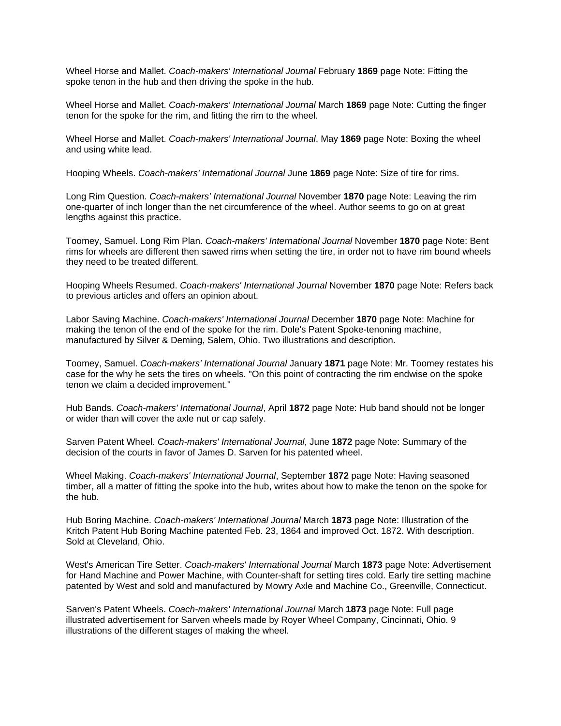Wheel Horse and Mallet. *Coach-makers' International Journal* February **1869** page Note: Fitting the spoke tenon in the hub and then driving the spoke in the hub.

Wheel Horse and Mallet. *Coach-makers' International Journal* March **1869** page Note: Cutting the finger tenon for the spoke for the rim, and fitting the rim to the wheel.

Wheel Horse and Mallet. *Coach-makers' International Journal*, May **1869** page Note: Boxing the wheel and using white lead.

Hooping Wheels. *Coach-makers' International Journal* June **1869** page Note: Size of tire for rims.

Long Rim Question. *Coach-makers' International Journal* November **1870** page Note: Leaving the rim one-quarter of inch longer than the net circumference of the wheel. Author seems to go on at great lengths against this practice.

Toomey, Samuel. Long Rim Plan. *Coach-makers' International Journal* November **1870** page Note: Bent rims for wheels are different then sawed rims when setting the tire, in order not to have rim bound wheels they need to be treated different.

Hooping Wheels Resumed. *Coach-makers' International Journal* November **1870** page Note: Refers back to previous articles and offers an opinion about.

Labor Saving Machine. *Coach-makers' International Journal* December **1870** page Note: Machine for making the tenon of the end of the spoke for the rim. Dole's Patent Spoke-tenoning machine, manufactured by Silver & Deming, Salem, Ohio. Two illustrations and description.

Toomey, Samuel. *Coach-makers' International Journal* January **1871** page Note: Mr. Toomey restates his case for the why he sets the tires on wheels. "On this point of contracting the rim endwise on the spoke tenon we claim a decided improvement."

Hub Bands. *Coach-makers' International Journal*, April **1872** page Note: Hub band should not be longer or wider than will cover the axle nut or cap safely.

Sarven Patent Wheel. *Coach-makers' International Journal*, June **1872** page Note: Summary of the decision of the courts in favor of James D. Sarven for his patented wheel.

Wheel Making. *Coach-makers' International Journal*, September **1872** page Note: Having seasoned timber, all a matter of fitting the spoke into the hub, writes about how to make the tenon on the spoke for the hub.

Hub Boring Machine. *Coach-makers' International Journal* March **1873** page Note: Illustration of the Kritch Patent Hub Boring Machine patented Feb. 23, 1864 and improved Oct. 1872. With description. Sold at Cleveland, Ohio.

West's American Tire Setter. *Coach-makers' International Journal* March **1873** page Note: Advertisement for Hand Machine and Power Machine, with Counter-shaft for setting tires cold. Early tire setting machine patented by West and sold and manufactured by Mowry Axle and Machine Co., Greenville, Connecticut.

Sarven's Patent Wheels. *Coach-makers' International Journal* March **1873** page Note: Full page illustrated advertisement for Sarven wheels made by Royer Wheel Company, Cincinnati, Ohio. 9 illustrations of the different stages of making the wheel.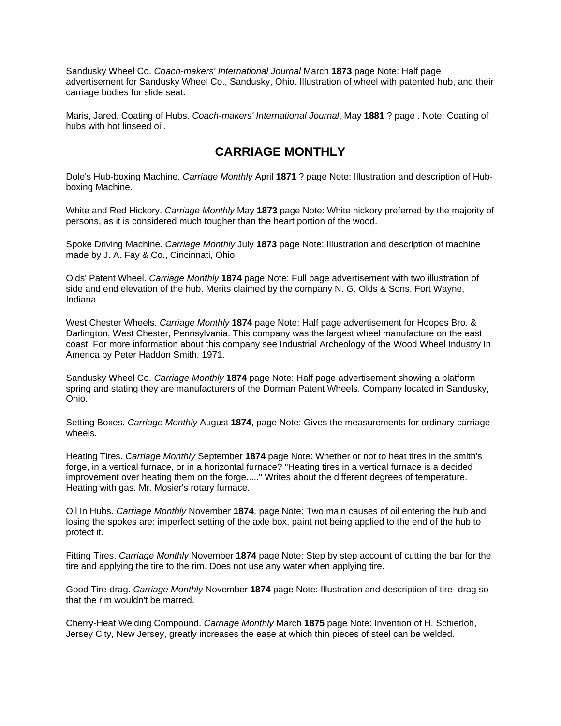Sandusky Wheel Co. *Coach-makers' International Journal* March **1873** page Note: Half page advertisement for Sandusky Wheel Co., Sandusky, Ohio. Illustration of wheel with patented hub, and their carriage bodies for slide seat.

Maris, Jared. Coating of Hubs. *Coach-makers' International Journal*, May **1881** ? page . Note: Coating of hubs with hot linseed oil.

#### **CARRIAGE MONTHLY**

Dole's Hub-boxing Machine. *Carriage Monthly* April **1871** ? page Note: Illustration and description of Hubboxing Machine.

White and Red Hickory. *Carriage Monthly* May **1873** page Note: White hickory preferred by the majority of persons, as it is considered much tougher than the heart portion of the wood.

Spoke Driving Machine. *Carriage Monthly* July **1873** page Note: Illustration and description of machine made by J. A. Fay & Co., Cincinnati, Ohio.

Olds' Patent Wheel. *Carriage Monthly* **1874** page Note: Full page advertisement with two illustration of side and end elevation of the hub. Merits claimed by the company N. G. Olds & Sons, Fort Wayne, Indiana.

West Chester Wheels. *Carriage Monthly* **1874** page Note: Half page advertisement for Hoopes Bro. & Darlington, West Chester, Pennsylvania. This company was the largest wheel manufacture on the east coast. For more information about this company see Industrial Archeology of the Wood Wheel Industry In America by Peter Haddon Smith, 1971.

Sandusky Wheel Co. *Carriage Monthly* **1874** page Note: Half page advertisement showing a platform spring and stating they are manufacturers of the Dorman Patent Wheels. Company located in Sandusky, Ohio.

Setting Boxes. *Carriage Monthly* August **1874**, page Note: Gives the measurements for ordinary carriage wheels.

Heating Tires. *Carriage Monthly* September **1874** page Note: Whether or not to heat tires in the smith's forge, in a vertical furnace, or in a horizontal furnace? "Heating tires in a vertical furnace is a decided improvement over heating them on the forge....." Writes about the different degrees of temperature. Heating with gas. Mr. Mosier's rotary furnace.

Oil In Hubs. *Carriage Monthly* November **1874**, page Note: Two main causes of oil entering the hub and losing the spokes are: imperfect setting of the axle box, paint not being applied to the end of the hub to protect it.

Fitting Tires. *Carriage Monthly* November **1874** page Note: Step by step account of cutting the bar for the tire and applying the tire to the rim. Does not use any water when applying tire.

Good Tire-drag. *Carriage Monthly* November **1874** page Note: Illustration and description of tire -drag so that the rim wouldn't be marred.

Cherry-Heat Welding Compound. *Carriage Monthly* March **1875** page Note: Invention of H. Schierloh, Jersey City, New Jersey, greatly increases the ease at which thin pieces of steel can be welded.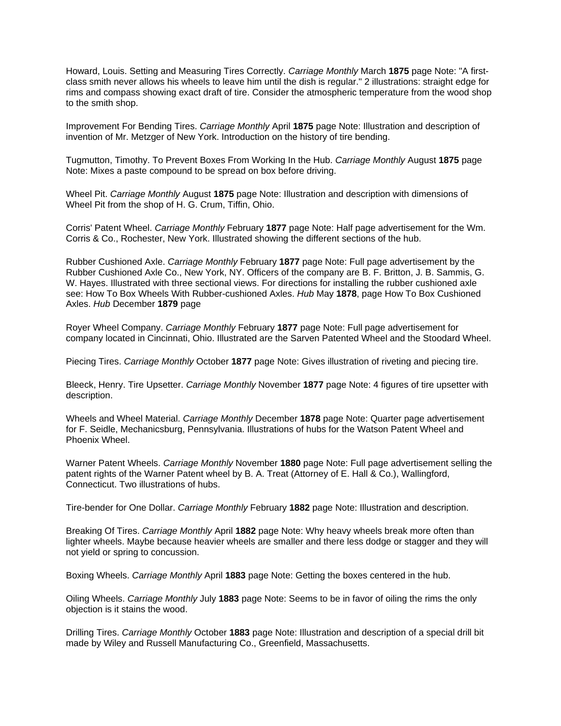Howard, Louis. Setting and Measuring Tires Correctly. *Carriage Monthly* March **1875** page Note: "A firstclass smith never allows his wheels to leave him until the dish is regular." 2 illustrations: straight edge for rims and compass showing exact draft of tire. Consider the atmospheric temperature from the wood shop to the smith shop.

Improvement For Bending Tires. *Carriage Monthly* April **1875** page Note: Illustration and description of invention of Mr. Metzger of New York. Introduction on the history of tire bending.

Tugmutton, Timothy. To Prevent Boxes From Working In the Hub. *Carriage Monthly* August **1875** page Note: Mixes a paste compound to be spread on box before driving.

Wheel Pit. *Carriage Monthly* August **1875** page Note: Illustration and description with dimensions of Wheel Pit from the shop of H. G. Crum, Tiffin, Ohio.

Corris' Patent Wheel. *Carriage Monthly* February **1877** page Note: Half page advertisement for the Wm. Corris & Co., Rochester, New York. Illustrated showing the different sections of the hub.

Rubber Cushioned Axle. *Carriage Monthly* February **1877** page Note: Full page advertisement by the Rubber Cushioned Axle Co., New York, NY. Officers of the company are B. F. Britton, J. B. Sammis, G. W. Hayes. Illustrated with three sectional views. For directions for installing the rubber cushioned axle see: How To Box Wheels With Rubber-cushioned Axles. *Hub* May **1878**, page How To Box Cushioned Axles. *Hub* December **1879** page

Royer Wheel Company. *Carriage Monthly* February **1877** page Note: Full page advertisement for company located in Cincinnati, Ohio. Illustrated are the Sarven Patented Wheel and the Stoodard Wheel.

Piecing Tires. *Carriage Monthly* October **1877** page Note: Gives illustration of riveting and piecing tire.

Bleeck, Henry. Tire Upsetter. *Carriage Monthly* November **1877** page Note: 4 figures of tire upsetter with description.

Wheels and Wheel Material. *Carriage Monthly* December **1878** page Note: Quarter page advertisement for F. Seidle, Mechanicsburg, Pennsylvania. Illustrations of hubs for the Watson Patent Wheel and Phoenix Wheel.

Warner Patent Wheels. *Carriage Monthly* November **1880** page Note: Full page advertisement selling the patent rights of the Warner Patent wheel by B. A. Treat (Attorney of E. Hall & Co.), Wallingford, Connecticut. Two illustrations of hubs.

Tire-bender for One Dollar. *Carriage Monthly* February **1882** page Note: Illustration and description.

Breaking Of Tires. *Carriage Monthly* April **1882** page Note: Why heavy wheels break more often than lighter wheels. Maybe because heavier wheels are smaller and there less dodge or stagger and they will not yield or spring to concussion.

Boxing Wheels. *Carriage Monthly* April **1883** page Note: Getting the boxes centered in the hub.

Oiling Wheels. *Carriage Monthly* July **1883** page Note: Seems to be in favor of oiling the rims the only objection is it stains the wood.

Drilling Tires. *Carriage Monthly* October **1883** page Note: Illustration and description of a special drill bit made by Wiley and Russell Manufacturing Co., Greenfield, Massachusetts.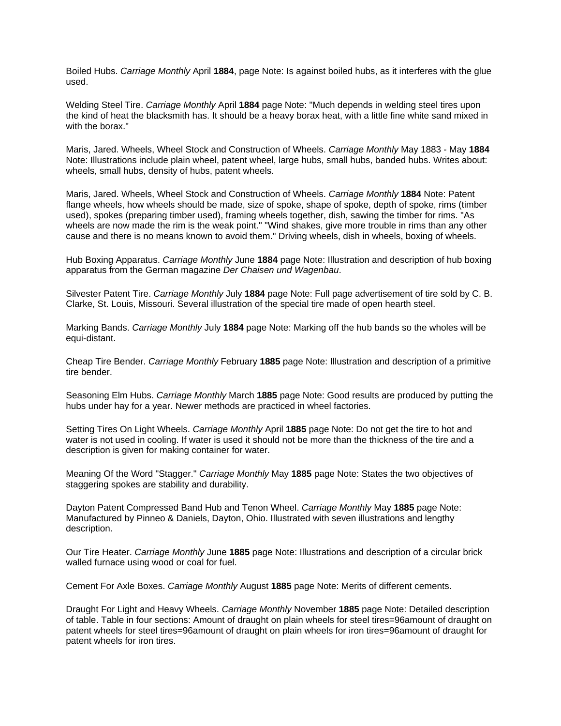Boiled Hubs. *Carriage Monthly* April **1884**, page Note: Is against boiled hubs, as it interferes with the glue used.

Welding Steel Tire. *Carriage Monthly* April **1884** page Note: "Much depends in welding steel tires upon the kind of heat the blacksmith has. It should be a heavy borax heat, with a little fine white sand mixed in with the borax."

Maris, Jared. Wheels, Wheel Stock and Construction of Wheels. *Carriage Monthly* May 1883 - May **1884**  Note: Illustrations include plain wheel, patent wheel, large hubs, small hubs, banded hubs. Writes about: wheels, small hubs, density of hubs, patent wheels.

Maris, Jared. Wheels, Wheel Stock and Construction of Wheels. *Carriage Monthly* **1884** Note: Patent flange wheels, how wheels should be made, size of spoke, shape of spoke, depth of spoke, rims (timber used), spokes (preparing timber used), framing wheels together, dish, sawing the timber for rims. "As wheels are now made the rim is the weak point." "Wind shakes, give more trouble in rims than any other cause and there is no means known to avoid them." Driving wheels, dish in wheels, boxing of wheels.

Hub Boxing Apparatus. *Carriage Monthly* June **1884** page Note: Illustration and description of hub boxing apparatus from the German magazine *Der Chaisen und Wagenbau*.

Silvester Patent Tire. *Carriage Monthly* July **1884** page Note: Full page advertisement of tire sold by C. B. Clarke, St. Louis, Missouri. Several illustration of the special tire made of open hearth steel.

Marking Bands. *Carriage Monthly* July **1884** page Note: Marking off the hub bands so the wholes will be equi-distant.

Cheap Tire Bender. *Carriage Monthly* February **1885** page Note: Illustration and description of a primitive tire bender.

Seasoning Elm Hubs. *Carriage Monthly* March **1885** page Note: Good results are produced by putting the hubs under hay for a year. Newer methods are practiced in wheel factories.

Setting Tires On Light Wheels. *Carriage Monthly* April **1885** page Note: Do not get the tire to hot and water is not used in cooling. If water is used it should not be more than the thickness of the tire and a description is given for making container for water.

Meaning Of the Word "Stagger." *Carriage Monthly* May **1885** page Note: States the two objectives of staggering spokes are stability and durability.

Dayton Patent Compressed Band Hub and Tenon Wheel. *Carriage Monthly* May **1885** page Note: Manufactured by Pinneo & Daniels, Dayton, Ohio. Illustrated with seven illustrations and lengthy description.

Our Tire Heater. *Carriage Monthly* June **1885** page Note: Illustrations and description of a circular brick walled furnace using wood or coal for fuel.

Cement For Axle Boxes. *Carriage Monthly* August **1885** page Note: Merits of different cements.

Draught For Light and Heavy Wheels. *Carriage Monthly* November **1885** page Note: Detailed description of table. Table in four sections: Amount of draught on plain wheels for steel tires=96amount of draught on patent wheels for steel tires=96amount of draught on plain wheels for iron tires=96amount of draught for patent wheels for iron tires.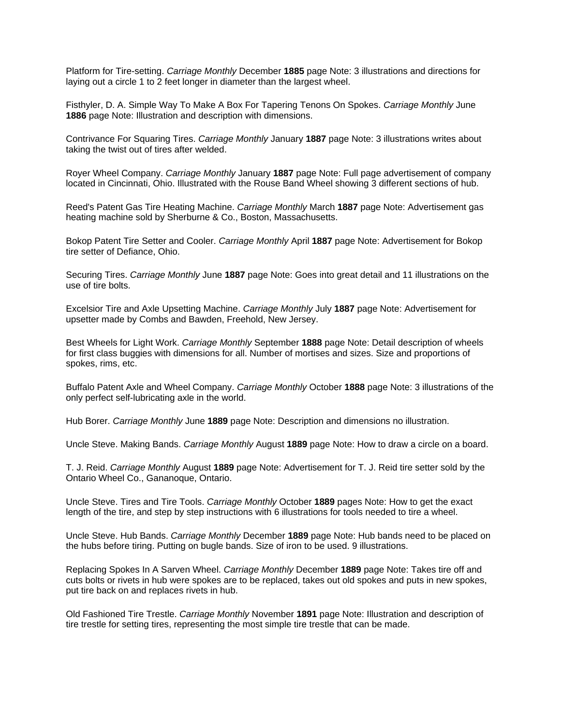Platform for Tire-setting. *Carriage Monthly* December **1885** page Note: 3 illustrations and directions for laying out a circle 1 to 2 feet longer in diameter than the largest wheel.

Fisthyler, D. A. Simple Way To Make A Box For Tapering Tenons On Spokes. *Carriage Monthly* June **1886** page Note: Illustration and description with dimensions.

Contrivance For Squaring Tires. *Carriage Monthly* January **1887** page Note: 3 illustrations writes about taking the twist out of tires after welded.

Royer Wheel Company. *Carriage Monthly* January **1887** page Note: Full page advertisement of company located in Cincinnati, Ohio. Illustrated with the Rouse Band Wheel showing 3 different sections of hub.

Reed's Patent Gas Tire Heating Machine. *Carriage Monthly* March **1887** page Note: Advertisement gas heating machine sold by Sherburne & Co., Boston, Massachusetts.

Bokop Patent Tire Setter and Cooler. *Carriage Monthly* April **1887** page Note: Advertisement for Bokop tire setter of Defiance, Ohio.

Securing Tires. *Carriage Monthly* June **1887** page Note: Goes into great detail and 11 illustrations on the use of tire bolts.

Excelsior Tire and Axle Upsetting Machine. *Carriage Monthly* July **1887** page Note: Advertisement for upsetter made by Combs and Bawden, Freehold, New Jersey.

Best Wheels for Light Work. *Carriage Monthly* September **1888** page Note: Detail description of wheels for first class buggies with dimensions for all. Number of mortises and sizes. Size and proportions of spokes, rims, etc.

Buffalo Patent Axle and Wheel Company. *Carriage Monthly* October **1888** page Note: 3 illustrations of the only perfect self-lubricating axle in the world.

Hub Borer. *Carriage Monthly* June **1889** page Note: Description and dimensions no illustration.

Uncle Steve. Making Bands. *Carriage Monthly* August **1889** page Note: How to draw a circle on a board.

T. J. Reid. *Carriage Monthly* August **1889** page Note: Advertisement for T. J. Reid tire setter sold by the Ontario Wheel Co., Gananoque, Ontario.

Uncle Steve. Tires and Tire Tools. *Carriage Monthly* October **1889** pages Note: How to get the exact length of the tire, and step by step instructions with 6 illustrations for tools needed to tire a wheel.

Uncle Steve. Hub Bands. *Carriage Monthly* December **1889** page Note: Hub bands need to be placed on the hubs before tiring. Putting on bugle bands. Size of iron to be used. 9 illustrations.

Replacing Spokes In A Sarven Wheel. *Carriage Monthly* December **1889** page Note: Takes tire off and cuts bolts or rivets in hub were spokes are to be replaced, takes out old spokes and puts in new spokes, put tire back on and replaces rivets in hub.

Old Fashioned Tire Trestle. *Carriage Monthly* November **1891** page Note: Illustration and description of tire trestle for setting tires, representing the most simple tire trestle that can be made.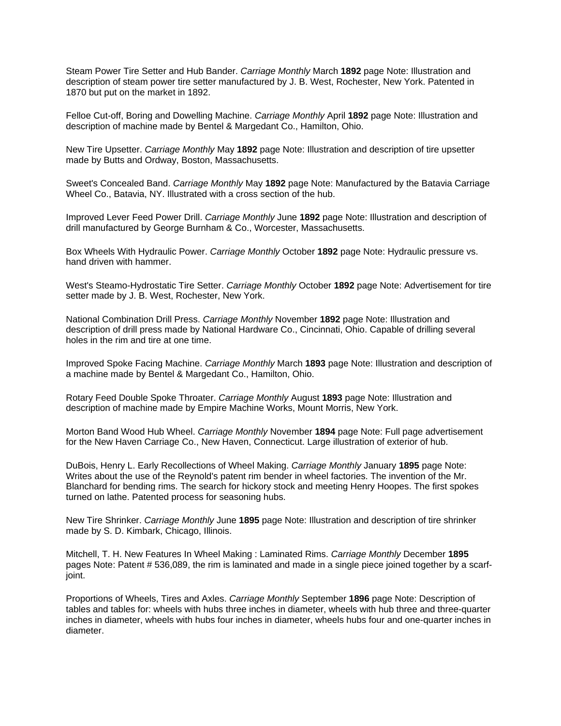Steam Power Tire Setter and Hub Bander. *Carriage Monthly* March **1892** page Note: Illustration and description of steam power tire setter manufactured by J. B. West, Rochester, New York. Patented in 1870 but put on the market in 1892.

Felloe Cut-off, Boring and Dowelling Machine. *Carriage Monthly* April **1892** page Note: Illustration and description of machine made by Bentel & Margedant Co., Hamilton, Ohio.

New Tire Upsetter. *Carriage Monthly* May **1892** page Note: Illustration and description of tire upsetter made by Butts and Ordway, Boston, Massachusetts.

Sweet's Concealed Band. *Carriage Monthly* May **1892** page Note: Manufactured by the Batavia Carriage Wheel Co., Batavia, NY. Illustrated with a cross section of the hub.

Improved Lever Feed Power Drill. *Carriage Monthly* June **1892** page Note: Illustration and description of drill manufactured by George Burnham & Co., Worcester, Massachusetts.

Box Wheels With Hydraulic Power. *Carriage Monthly* October **1892** page Note: Hydraulic pressure vs. hand driven with hammer.

West's Steamo-Hydrostatic Tire Setter. *Carriage Monthly* October **1892** page Note: Advertisement for tire setter made by J. B. West, Rochester, New York.

National Combination Drill Press. *Carriage Monthly* November **1892** page Note: Illustration and description of drill press made by National Hardware Co., Cincinnati, Ohio. Capable of drilling several holes in the rim and tire at one time.

Improved Spoke Facing Machine. *Carriage Monthly* March **1893** page Note: Illustration and description of a machine made by Bentel & Margedant Co., Hamilton, Ohio.

Rotary Feed Double Spoke Throater. *Carriage Monthly* August **1893** page Note: Illustration and description of machine made by Empire Machine Works, Mount Morris, New York.

Morton Band Wood Hub Wheel. *Carriage Monthly* November **1894** page Note: Full page advertisement for the New Haven Carriage Co., New Haven, Connecticut. Large illustration of exterior of hub.

DuBois, Henry L. Early Recollections of Wheel Making. *Carriage Monthly* January **1895** page Note: Writes about the use of the Reynold's patent rim bender in wheel factories. The invention of the Mr. Blanchard for bending rims. The search for hickory stock and meeting Henry Hoopes. The first spokes turned on lathe. Patented process for seasoning hubs.

New Tire Shrinker. *Carriage Monthly* June **1895** page Note: Illustration and description of tire shrinker made by S. D. Kimbark, Chicago, Illinois.

Mitchell, T. H. New Features In Wheel Making : Laminated Rims. *Carriage Monthly* December **1895** pages Note: Patent # 536,089, the rim is laminated and made in a single piece joined together by a scarfjoint.

Proportions of Wheels, Tires and Axles. *Carriage Monthly* September **1896** page Note: Description of tables and tables for: wheels with hubs three inches in diameter, wheels with hub three and three-quarter inches in diameter, wheels with hubs four inches in diameter, wheels hubs four and one-quarter inches in diameter.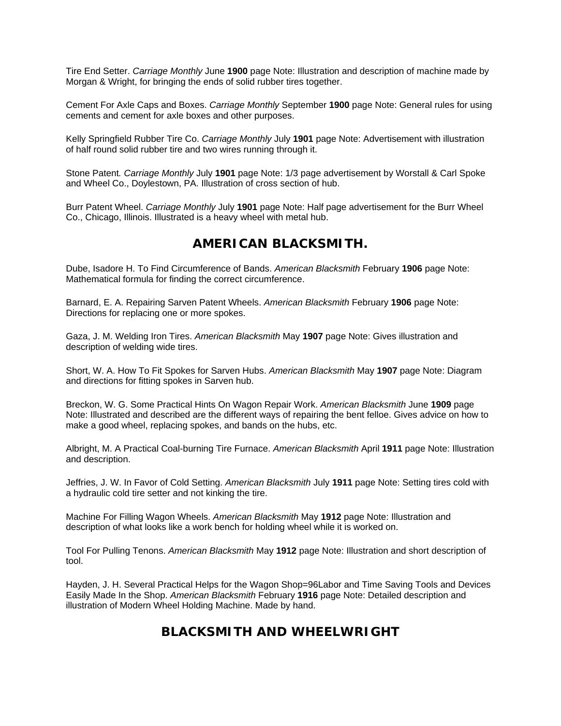Tire End Setter. *Carriage Monthly* June **1900** page Note: Illustration and description of machine made by Morgan & Wright, for bringing the ends of solid rubber tires together.

Cement For Axle Caps and Boxes. *Carriage Monthly* September **1900** page Note: General rules for using cements and cement for axle boxes and other purposes.

Kelly Springfield Rubber Tire Co. *Carriage Monthly* July **1901** page Note: Advertisement with illustration of half round solid rubber tire and two wires running through it.

Stone Patent*. Carriage Monthly* July **1901** page Note: 1/3 page advertisement by Worstall & Carl Spoke and Wheel Co., Doylestown, PA. Illustration of cross section of hub.

Burr Patent Wheel. *Carriage Monthly* July **1901** page Note: Half page advertisement for the Burr Wheel Co., Chicago, Illinois. Illustrated is a heavy wheel with metal hub.

### **AMERICAN BLACKSMITH.**

Dube, Isadore H. To Find Circumference of Bands. *American Blacksmith* February **1906** page Note: Mathematical formula for finding the correct circumference.

Barnard, E. A. Repairing Sarven Patent Wheels. *American Blacksmith* February **1906** page Note: Directions for replacing one or more spokes.

Gaza, J. M. Welding Iron Tires. *American Blacksmith* May **1907** page Note: Gives illustration and description of welding wide tires.

Short, W. A. How To Fit Spokes for Sarven Hubs. *American Blacksmith* May **1907** page Note: Diagram and directions for fitting spokes in Sarven hub.

Breckon, W. G. Some Practical Hints On Wagon Repair Work. *American Blacksmith* June **1909** page Note: Illustrated and described are the different ways of repairing the bent felloe. Gives advice on how to make a good wheel, replacing spokes, and bands on the hubs, etc.

Albright, M. A Practical Coal-burning Tire Furnace. *American Blacksmith* April **1911** page Note: Illustration and description.

Jeffries, J. W. In Favor of Cold Setting. *American Blacksmith* July **1911** page Note: Setting tires cold with a hydraulic cold tire setter and not kinking the tire.

Machine For Filling Wagon Wheels. *American Blacksmith* May **1912** page Note: Illustration and description of what looks like a work bench for holding wheel while it is worked on.

Tool For Pulling Tenons. *American Blacksmith* May **1912** page Note: Illustration and short description of tool.

Hayden, J. H. Several Practical Helps for the Wagon Shop=96Labor and Time Saving Tools and Devices Easily Made In the Shop. *American Blacksmith* February **1916** page Note: Detailed description and illustration of Modern Wheel Holding Machine. Made by hand.

# **BLACKSMITH AND WHEELWRIGHT**